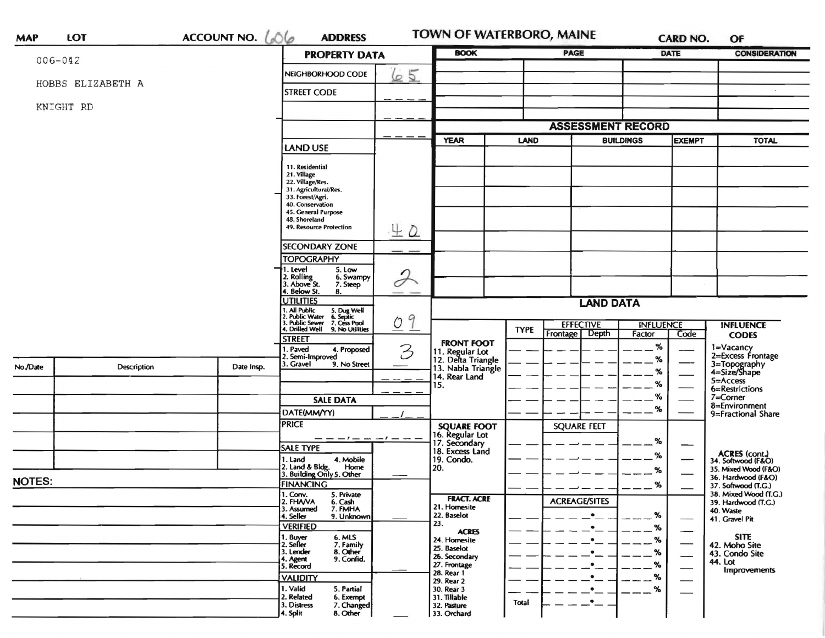| <b>MAP</b>    | LOT               | ACCOUNT NO. $606$ | <b>ADDRESS</b>                                                                                                                             |            | TOWN OF WATERBORO, MAINE                            |             |                                    |                            | <b>CARD NO.</b>                           | OF                                           |
|---------------|-------------------|-------------------|--------------------------------------------------------------------------------------------------------------------------------------------|------------|-----------------------------------------------------|-------------|------------------------------------|----------------------------|-------------------------------------------|----------------------------------------------|
| $006 - 042$   |                   |                   | <b>PROPERTY DATA</b>                                                                                                                       |            | <b>BOOK</b>                                         |             | <b>PAGE</b>                        | <b>DATE</b>                |                                           | <b>CONSIDERATION</b>                         |
|               | HOBBS ELIZABETH A |                   | NEIGHBORHOOD CODE                                                                                                                          | 65         |                                                     |             |                                    |                            |                                           |                                              |
|               |                   |                   | <b>STREET CODE</b>                                                                                                                         |            |                                                     |             |                                    |                            |                                           | $\sim$                                       |
|               | KNIGHT RD         |                   |                                                                                                                                            |            |                                                     |             |                                    |                            |                                           |                                              |
|               |                   |                   |                                                                                                                                            |            |                                                     |             | <b>ASSESSMENT RECORD</b>           |                            |                                           |                                              |
|               |                   |                   |                                                                                                                                            |            | <b>YEAR</b><br><b>LAND</b>                          |             | <b>BUILDINGS</b><br><b>EXEMPT</b>  |                            | <b>TOTAL</b>                              |                                              |
|               |                   |                   | <b>LAND USE</b>                                                                                                                            |            |                                                     |             |                                    |                            |                                           |                                              |
|               |                   |                   | 11. Residential<br>21. Village<br>22. Village/Res.<br>31. Agricultural/Res.<br>33. Forest/Agri.<br>40. Conservation<br>45. General Purpose |            |                                                     |             |                                    |                            |                                           |                                              |
|               |                   |                   | 48. Shoreland<br>49. Resource Protection                                                                                                   | 40         |                                                     |             |                                    |                            |                                           |                                              |
|               |                   |                   | <b>SECONDARY ZONE</b>                                                                                                                      |            |                                                     |             |                                    |                            |                                           |                                              |
|               |                   |                   | <b>TOPOGRAPHY</b>                                                                                                                          |            |                                                     |             |                                    |                            |                                           |                                              |
|               |                   |                   | 1. Level<br>5. Low<br>2. Rolling<br>3. Above St.<br>6. Swampy<br>7. Steep<br>4. Below St.<br>8.                                            | $\partial$ |                                                     |             |                                    |                            |                                           |                                              |
|               |                   |                   | <b>UTILITIES</b>                                                                                                                           |            |                                                     |             | <b>LAND DATA</b>                   |                            |                                           |                                              |
|               |                   |                   | 1. All Public<br>2. Public Water<br>3. Public Sewer<br>5. Dug Well<br>6. Septic<br>7. Cess Pool                                            | 9          |                                                     |             |                                    |                            |                                           |                                              |
|               |                   |                   | 4. Drilled Well<br>9. No Utilities                                                                                                         | $\Omega$   |                                                     | <b>TYPE</b> | <b>EFFECTIVE</b><br>Frontage Depth | <b>INFLUENCE</b><br>Factor | Code                                      | <b>INFLUENCE</b><br><b>CODES</b>             |
|               |                   |                   | <b>STREET</b><br>Paved<br>4. Proposed                                                                                                      | 3          | <b>FRONT FOOT</b>                                   |             |                                    | $\%$                       |                                           | 1=Vacancy<br>2=Excess Frontage               |
|               |                   |                   | Semi-Improved<br>3. Gravel<br>9. No Street                                                                                                 |            | 11. Regular Lot<br>12. Delta Triangle               |             |                                    | %                          |                                           |                                              |
| No./Date      | Description       | Date Insp.        |                                                                                                                                            |            | 13. Nabla Triangle<br>14. Rear Land                 |             |                                    | %                          |                                           | 3=Topography<br>4=Size/Shape                 |
|               |                   |                   |                                                                                                                                            |            | 15.                                                 |             |                                    | %                          |                                           | 5=Access<br>6=Restrictions                   |
|               |                   |                   | <b>SALE DATA</b>                                                                                                                           |            |                                                     |             |                                    | %                          |                                           | $7 =$ Corner<br>8=Environment                |
|               |                   |                   | DATE(MM/YY)                                                                                                                                |            |                                                     |             |                                    | %                          |                                           | 9=Fractional Share                           |
|               |                   |                   | <b>PRICE</b>                                                                                                                               |            | <b>SQUARE FOOT</b>                                  |             | <b>SQUARE FEET</b>                 |                            |                                           |                                              |
|               |                   |                   | — — — <i>I — — — I — —</i> —<br><b>SALE TYPE</b>                                                                                           |            | 16. Regular Lot<br>17. Secondary<br>18. Excess Land |             |                                    | %                          |                                           |                                              |
|               |                   |                   | 4. Mobile<br>1. Land                                                                                                                       |            | 19. Condo.                                          |             |                                    | %                          |                                           | ACRES (cont.)<br>34. Softwood (F&O)          |
|               |                   |                   | 2. Land & Bldg. Home<br>3. Building Only 5. Other<br>Home                                                                                  |            | 20.                                                 |             |                                    | $\%$                       |                                           | 35. Mixed Wood (F&O)                         |
| <b>NOTES:</b> |                   | <b>FINANCING</b>  |                                                                                                                                            |            |                                                     |             | %                                  |                            | 36. Hardwood (F&O)<br>37. Softwood (T.G.) |                                              |
|               |                   |                   | 1. Conv.<br>2. FHA/VA<br>5. Private<br>6. Cash                                                                                             |            | <b>FRACT. ACRE</b>                                  |             | <b>ACREAGE/SITES</b>               |                            |                                           | 38. Mixed Wood (T.G.)<br>39. Hardwood (T.C.) |
|               |                   |                   | 7. FMHA<br>3. Assumed<br>9. Unknown<br>4. Seller                                                                                           |            | 21. Homesite<br>22. Baselot                         |             | $\bullet$                          | %                          |                                           | 40. Waste                                    |
|               |                   |                   | <b>VERIFIED</b>                                                                                                                            |            | 23.                                                 |             |                                    | %                          |                                           | 41. Gravel Pit                               |
|               |                   |                   | 1. Buyer<br>2. Seller<br>6. MLS<br>7. Family                                                                                               |            | <b>ACRES</b><br>24. Homesite                        |             |                                    | %                          |                                           | <b>SITE</b><br>42. Moho Site                 |
|               |                   |                   | 3. Lender<br>8. Other                                                                                                                      |            | 25. Baselot<br>26. Secondary                        |             |                                    | %                          |                                           | 43. Condo Site                               |
|               |                   |                   | 9. Confid.<br>4. Agent<br>5. Record                                                                                                        |            | 27. Frontage                                        |             |                                    | %                          |                                           | 44. Lot<br>Improvements                      |
|               |                   |                   | <b>VALIDITY</b>                                                                                                                            |            | 28. Rear 1<br>29. Rear 2                            |             |                                    | %                          |                                           |                                              |
|               |                   |                   | 1. Valid<br>5. Partial<br>2. Related<br>6. Exempt                                                                                          |            | 30. Rear 3                                          |             |                                    | %                          |                                           |                                              |
|               |                   |                   | 3. Distress<br>7. Changed<br>8. Other<br>4. Split                                                                                          |            | 31. Tillable<br>32. Pasture<br>33. Orchard          | Total       | ٠                                  |                            |                                           |                                              |